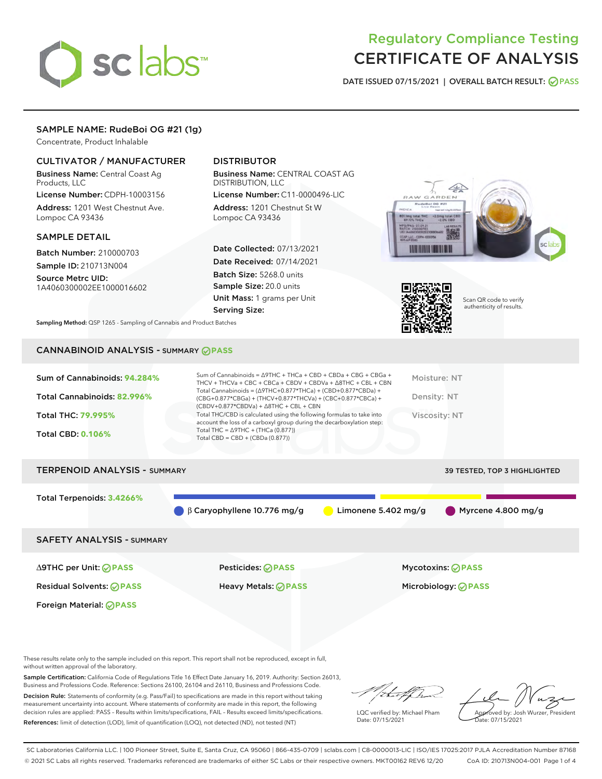# sclabs<sup>\*</sup>

# Regulatory Compliance Testing CERTIFICATE OF ANALYSIS

DATE ISSUED 07/15/2021 | OVERALL BATCH RESULT: @ PASS

# SAMPLE NAME: RudeBoi OG #21 (1g)

Concentrate, Product Inhalable

# CULTIVATOR / MANUFACTURER

Business Name: Central Coast Ag Products, LLC

License Number: CDPH-10003156 Address: 1201 West Chestnut Ave. Lompoc CA 93436

#### SAMPLE DETAIL

Batch Number: 210000703 Sample ID: 210713N004

Source Metrc UID: 1A4060300002EE1000016602

Foreign Material: **PASS**

# DISTRIBUTOR

Business Name: CENTRAL COAST AG DISTRIBUTION, LLC

License Number: C11-0000496-LIC Address: 1201 Chestnut St W Lompoc CA 93436

Date Collected: 07/13/2021 Date Received: 07/14/2021 Batch Size: 5268.0 units Sample Size: 20.0 units Unit Mass: 1 grams per Unit Serving Size:





Scan QR code to verify authenticity of results.

Sampling Method: QSP 1265 - Sampling of Cannabis and Product Batches

# CANNABINOID ANALYSIS - SUMMARY **PASS**

| Total THC: 79.995%<br>Viscosity: NT<br>account the loss of a carboxyl group during the decarboxylation step:<br>Total THC = $\triangle$ 9THC + (THCa (0.877))<br><b>Total CBD: 0.106%</b><br>Total CBD = $CBD + (CBDa (0.877))$ | Sum of Cannabinoids: 94.284%<br>Total Cannabinoids: 82.996% | Sum of Cannabinoids = $\triangle$ 9THC + THCa + CBD + CBDa + CBG + CBGa +<br>THCV + THCVa + CBC + CBCa + CBDV + CBDVa + $\Delta$ 8THC + CBL + CBN<br>Total Cannabinoids = $(\Delta$ 9THC+0.877*THCa) + (CBD+0.877*CBDa) +<br>(CBG+0.877*CBGa) + (THCV+0.877*THCVa) + (CBC+0.877*CBCa) +<br>$(CBDV+0.877*CBDVa) + \Delta 8THC + CBL + CBN$ | Moisture: NT<br>Density: NT |
|---------------------------------------------------------------------------------------------------------------------------------------------------------------------------------------------------------------------------------|-------------------------------------------------------------|-------------------------------------------------------------------------------------------------------------------------------------------------------------------------------------------------------------------------------------------------------------------------------------------------------------------------------------------|-----------------------------|
|                                                                                                                                                                                                                                 |                                                             | Total THC/CBD is calculated using the following formulas to take into                                                                                                                                                                                                                                                                     |                             |

# TERPENOID ANALYSIS - SUMMARY 39 TESTED, TOP 3 HIGHLIGHTED Total Terpenoids: **3.4266%** β Caryophyllene 10.776 mg/g Limonene 5.402 mg/g Myrcene 4.800 mg/g SAFETY ANALYSIS - SUMMARY ∆9THC per Unit: **PASS** Pesticides: **PASS** Mycotoxins: **PASS**

Residual Solvents: **PASS** Heavy Metals: **PASS** Microbiology: **PASS**

These results relate only to the sample included on this report. This report shall not be reproduced, except in full, without written approval of the laboratory.

Sample Certification: California Code of Regulations Title 16 Effect Date January 16, 2019. Authority: Section 26013, Business and Professions Code. Reference: Sections 26100, 26104 and 26110, Business and Professions Code. Decision Rule: Statements of conformity (e.g. Pass/Fail) to specifications are made in this report without taking

measurement uncertainty into account. Where statements of conformity are made in this report, the following decision rules are applied: PASS – Results within limits/specifications, FAIL – Results exceed limits/specifications. References: limit of detection (LOD), limit of quantification (LOQ), not detected (ND), not tested (NT)

that for

LQC verified by: Michael Pham Date: 07/15/2021

Approved by: Josh Wurzer, President ate: 07/15/2021

SC Laboratories California LLC. | 100 Pioneer Street, Suite E, Santa Cruz, CA 95060 | 866-435-0709 | sclabs.com | C8-0000013-LIC | ISO/IES 17025:2017 PJLA Accreditation Number 87168 © 2021 SC Labs all rights reserved. Trademarks referenced are trademarks of either SC Labs or their respective owners. MKT00162 REV6 12/20 CoA ID: 210713N004-001 Page 1 of 4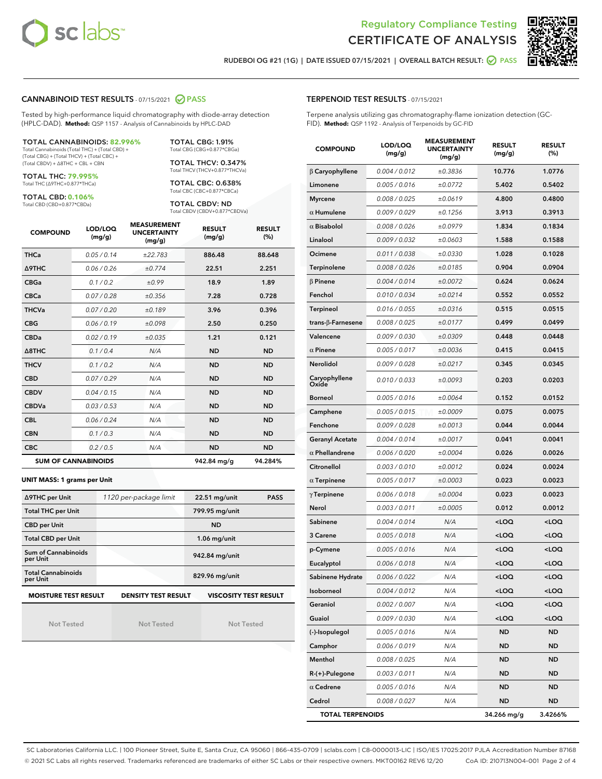



RUDEBOI OG #21 (1G) | DATE ISSUED 07/15/2021 | OVERALL BATCH RESULT: **○** PASS

#### CANNABINOID TEST RESULTS - 07/15/2021 2 PASS

Tested by high-performance liquid chromatography with diode-array detection (HPLC-DAD). **Method:** QSP 1157 - Analysis of Cannabinoids by HPLC-DAD

#### TOTAL CANNABINOIDS: **82.996%**

Total Cannabinoids (Total THC) + (Total CBD) + (Total CBG) + (Total THCV) + (Total CBC) + (Total CBDV) + ∆8THC + CBL + CBN

TOTAL THC: **79.995%** Total THC (∆9THC+0.877\*THCa)

TOTAL CBD: **0.106%**

Total CBD (CBD+0.877\*CBDa)

TOTAL CBG: 1.91% Total CBG (CBG+0.877\*CBGa)

TOTAL THCV: 0.347% Total THCV (THCV+0.877\*THCVa)

TOTAL CBC: 0.638% Total CBC (CBC+0.877\*CBCa)

TOTAL CBDV: ND Total CBDV (CBDV+0.877\*CBDVa)

| <b>COMPOUND</b> | LOD/LOQ<br>(mg/g)          | <b>MEASUREMENT</b><br><b>UNCERTAINTY</b><br>(mg/g) | <b>RESULT</b><br>(mg/g) | <b>RESULT</b><br>(%) |
|-----------------|----------------------------|----------------------------------------------------|-------------------------|----------------------|
| <b>THCa</b>     | 0.05/0.14                  | ±22.783                                            | 886.48                  | 88.648               |
| <b>A9THC</b>    | 0.06 / 0.26                | ±0.774                                             | 22.51                   | 2.251                |
| <b>CBGa</b>     | 0.1 / 0.2                  | ±0.99                                              | 18.9                    | 1.89                 |
| <b>CBCa</b>     | 0.07 / 0.28                | ±0.356                                             | 7.28                    | 0.728                |
| <b>THCVa</b>    | 0.07/0.20                  | ±0.189                                             | 3.96                    | 0.396                |
| <b>CBG</b>      | 0.06/0.19                  | ±0.098                                             | 2.50                    | 0.250                |
| <b>CBDa</b>     | 0.02/0.19                  | ±0.035                                             | 1.21                    | 0.121                |
| A8THC           | 0.1/0.4                    | N/A                                                | <b>ND</b>               | <b>ND</b>            |
| <b>THCV</b>     | 0.1 / 0.2                  | N/A                                                | <b>ND</b>               | <b>ND</b>            |
| <b>CBD</b>      | 0.07/0.29                  | N/A                                                | <b>ND</b>               | <b>ND</b>            |
| <b>CBDV</b>     | 0.04 / 0.15                | N/A                                                | <b>ND</b>               | <b>ND</b>            |
| <b>CBDVa</b>    | 0.03 / 0.53                | N/A                                                | <b>ND</b>               | <b>ND</b>            |
| <b>CBL</b>      | 0.06 / 0.24                | N/A                                                | <b>ND</b>               | <b>ND</b>            |
| <b>CBN</b>      | 0.1/0.3                    | N/A                                                | <b>ND</b>               | <b>ND</b>            |
| <b>CBC</b>      | 0.2 / 0.5                  | N/A                                                | <b>ND</b>               | <b>ND</b>            |
|                 | <b>SUM OF CANNABINOIDS</b> |                                                    | 942.84 mg/g             | 94.284%              |

#### **UNIT MASS: 1 grams per Unit**

| ∆9THC per Unit                        | 1120 per-package limit     | $22.51$ mg/unit<br><b>PASS</b> |  |
|---------------------------------------|----------------------------|--------------------------------|--|
| <b>Total THC per Unit</b>             |                            | 799.95 mg/unit                 |  |
| <b>CBD</b> per Unit                   |                            | <b>ND</b>                      |  |
| <b>Total CBD per Unit</b>             |                            | $1.06$ mg/unit                 |  |
| Sum of Cannabinoids<br>per Unit       |                            | 942.84 mg/unit                 |  |
| <b>Total Cannabinoids</b><br>per Unit |                            | 829.96 mg/unit                 |  |
| <b>MOISTURE TEST RESULT</b>           | <b>DENSITY TEST RESULT</b> | <b>VISCOSITY TEST RESULT</b>   |  |

Not Tested

Not Tested

Not Tested

#### TERPENOID TEST RESULTS - 07/15/2021

Terpene analysis utilizing gas chromatography-flame ionization detection (GC-FID). **Method:** QSP 1192 - Analysis of Terpenoids by GC-FID

| <b>COMPOUND</b>                     | LOD/LOQ<br>(mg/g) | <b>MEASUREMENT</b><br><b>UNCERTAINTY</b><br>(mg/g) | <b>RESULT</b><br>(mg/g)                         | <b>RESULT</b><br>(%) |
|-------------------------------------|-------------------|----------------------------------------------------|-------------------------------------------------|----------------------|
| $\beta$ Caryophyllene               | 0.004 / 0.012     | ±0.3836                                            | 10.776                                          | 1.0776               |
| Limonene                            | 0.005 / 0.016     | ±0.0772                                            | 5.402                                           | 0.5402               |
| <b>Myrcene</b>                      | 0.008 / 0.025     | ±0.0619                                            | 4.800                                           | 0.4800               |
| $\alpha$ Humulene                   | 0.009 / 0.029     | ±0.1256                                            | 3.913                                           | 0.3913               |
| $\alpha$ Bisabolol                  | 0.008 / 0.026     | ±0.0979                                            | 1.834                                           | 0.1834               |
| Linalool                            | 0.009 / 0.032     | ±0.0603                                            | 1.588                                           | 0.1588               |
| Ocimene                             | 0.011 / 0.038     | ±0.0330                                            | 1.028                                           | 0.1028               |
| Terpinolene                         | 0.008 / 0.026     | ±0.0185                                            | 0.904                                           | 0.0904               |
| $\beta$ Pinene                      | 0.004 / 0.014     | ±0.0072                                            | 0.624                                           | 0.0624               |
| Fenchol                             | 0.010 / 0.034     | ±0.0214                                            | 0.552                                           | 0.0552               |
| Terpineol                           | 0.016 / 0.055     | ±0.0316                                            | 0.515                                           | 0.0515               |
| trans-β-Farnesene                   | 0.008 / 0.025     | ±0.0177                                            | 0.499                                           | 0.0499               |
| Valencene                           | 0.009 / 0.030     | ±0.0309                                            | 0.448                                           | 0.0448               |
| $\alpha$ Pinene                     | 0.005 / 0.017     | ±0.0036                                            | 0.415                                           | 0.0415               |
| Nerolidol                           | 0.009 / 0.028     | ±0.0217                                            | 0.345                                           | 0.0345               |
| Caryophyllene<br>Oxide <sup>'</sup> | 0.010 / 0.033     | ±0.0093                                            | 0.203                                           | 0.0203               |
| <b>Borneol</b>                      | 0.005 / 0.016     | ±0.0064                                            | 0.152                                           | 0.0152               |
| Camphene                            | 0.005 / 0.015     | ±0.0009                                            | 0.075                                           | 0.0075               |
| Fenchone                            | 0.009 / 0.028     | ±0.0013                                            | 0.044                                           | 0.0044               |
| <b>Geranyl Acetate</b>              | 0.004 / 0.014     | ±0.0017                                            | 0.041                                           | 0.0041               |
| $\alpha$ Phellandrene               | 0.006 / 0.020     | ±0.0004                                            | 0.026                                           | 0.0026               |
| Citronellol                         | 0.003 / 0.010     | ±0.0012                                            | 0.024                                           | 0.0024               |
| $\alpha$ Terpinene                  | 0.005 / 0.017     | ±0.0003                                            | 0.023                                           | 0.0023               |
| $\gamma$ Terpinene                  | 0.006 / 0.018     | ±0.0004                                            | 0.023                                           | 0.0023               |
| Nerol                               | 0.003 / 0.011     | ±0.0005                                            | 0.012                                           | 0.0012               |
| Sabinene                            | 0.004 / 0.014     | N/A                                                | <loq< th=""><th><loq< th=""></loq<></th></loq<> | <loq< th=""></loq<>  |
| 3 Carene                            | 0.005 / 0.018     | N/A                                                | <loq< th=""><th><loq< th=""></loq<></th></loq<> | <loq< th=""></loq<>  |
| p-Cymene                            | 0.005 / 0.016     | N/A                                                | <loq< th=""><th><loq< th=""></loq<></th></loq<> | <loq< th=""></loq<>  |
| Eucalyptol                          | 0.006 / 0.018     | N/A                                                | <loq< th=""><th><loq< th=""></loq<></th></loq<> | <loq< th=""></loq<>  |
| Sabinene Hydrate                    | 0.006 / 0.022     | N/A                                                | <loq< th=""><th><loq< th=""></loq<></th></loq<> | <loq< th=""></loq<>  |
| Isoborneol                          | 0.004 / 0.012     | N/A                                                | <loq< th=""><th><loq< th=""></loq<></th></loq<> | <loq< th=""></loq<>  |
| Geraniol                            | 0.002 / 0.007     | N/A                                                | <loq< th=""><th><loq< th=""></loq<></th></loq<> | <loq< th=""></loq<>  |
| Guaiol                              | 0.009 / 0.030     | N/A                                                | <loq< th=""><th><loq< th=""></loq<></th></loq<> | <loq< th=""></loq<>  |
| (-)-Isopulegol                      | 0.005 / 0.016     | N/A                                                | <b>ND</b>                                       | <b>ND</b>            |
| Camphor                             | 0.006 / 0.019     | N/A                                                | ND                                              | ND                   |
| Menthol                             | 0.008 / 0.025     | N/A                                                | ND                                              | ND                   |
| R-(+)-Pulegone                      | 0.003 / 0.011     | N/A                                                | ND                                              | <b>ND</b>            |
| $\alpha$ Cedrene                    | 0.005 / 0.016     | N/A                                                | ND                                              | ND                   |
| Cedrol                              | 0.008 / 0.027     | N/A                                                | <b>ND</b>                                       | <b>ND</b>            |
| <b>TOTAL TERPENOIDS</b>             |                   |                                                    | 34.266 mg/g                                     | 3.4266%              |

SC Laboratories California LLC. | 100 Pioneer Street, Suite E, Santa Cruz, CA 95060 | 866-435-0709 | sclabs.com | C8-0000013-LIC | ISO/IES 17025:2017 PJLA Accreditation Number 87168 © 2021 SC Labs all rights reserved. Trademarks referenced are trademarks of either SC Labs or their respective owners. MKT00162 REV6 12/20 CoA ID: 210713N004-001 Page 2 of 4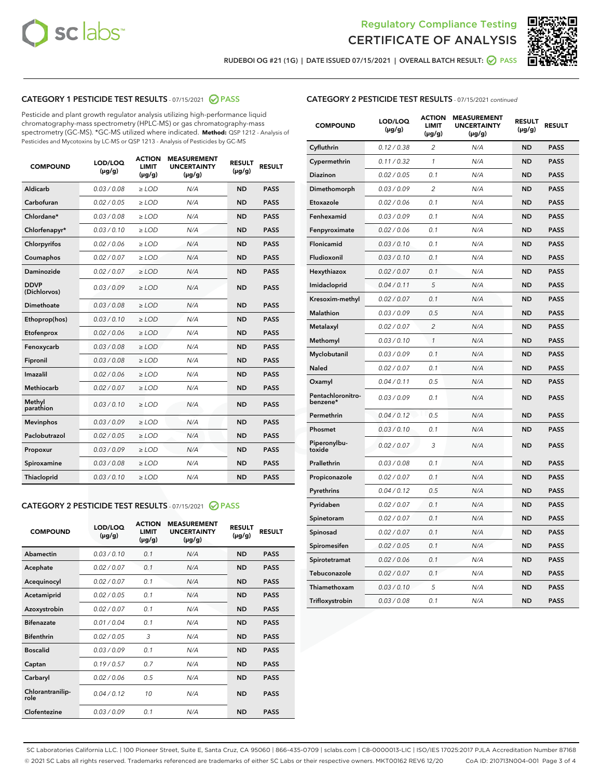



RUDEBOI OG #21 (1G) | DATE ISSUED 07/15/2021 | OVERALL BATCH RESULT: @ PASS

# CATEGORY 1 PESTICIDE TEST RESULTS - 07/15/2021 2 PASS

Pesticide and plant growth regulator analysis utilizing high-performance liquid chromatography-mass spectrometry (HPLC-MS) or gas chromatography-mass spectrometry (GC-MS). \*GC-MS utilized where indicated. **Method:** QSP 1212 - Analysis of Pesticides and Mycotoxins by LC-MS or QSP 1213 - Analysis of Pesticides by GC-MS

| <b>COMPOUND</b>             | LOD/LOQ<br>$(\mu g/g)$ | <b>ACTION</b><br><b>LIMIT</b><br>$(\mu g/g)$ | <b>MEASUREMENT</b><br><b>UNCERTAINTY</b><br>$(\mu g/g)$ | <b>RESULT</b><br>$(\mu g/g)$ | <b>RESULT</b> |
|-----------------------------|------------------------|----------------------------------------------|---------------------------------------------------------|------------------------------|---------------|
| Aldicarb                    | 0.03 / 0.08            | $\geq$ LOD                                   | N/A                                                     | <b>ND</b>                    | <b>PASS</b>   |
| Carbofuran                  | 0.02/0.05              | $>$ LOD                                      | N/A                                                     | <b>ND</b>                    | <b>PASS</b>   |
| Chlordane*                  | 0.03 / 0.08            | ≥ LOD                                        | N/A                                                     | <b>ND</b>                    | <b>PASS</b>   |
| Chlorfenapyr*               | 0.03/0.10              | $\ge$ LOD                                    | N/A                                                     | <b>ND</b>                    | <b>PASS</b>   |
| Chlorpyrifos                | 0.02 / 0.06            | $\geq$ LOD                                   | N/A                                                     | <b>ND</b>                    | <b>PASS</b>   |
| Coumaphos                   | 0.02 / 0.07            | $>$ LOD                                      | N/A                                                     | <b>ND</b>                    | <b>PASS</b>   |
| Daminozide                  | 0.02 / 0.07            | $\geq$ LOD                                   | N/A                                                     | <b>ND</b>                    | <b>PASS</b>   |
| <b>DDVP</b><br>(Dichlorvos) | 0.03/0.09              | $\geq$ LOD                                   | N/A                                                     | <b>ND</b>                    | <b>PASS</b>   |
| <b>Dimethoate</b>           | 0.03 / 0.08            | $\ge$ LOD                                    | N/A                                                     | <b>ND</b>                    | <b>PASS</b>   |
| Ethoprop(hos)               | 0.03/0.10              | $>$ LOD                                      | N/A                                                     | <b>ND</b>                    | <b>PASS</b>   |
| Etofenprox                  | 0.02 / 0.06            | $\geq$ LOD                                   | N/A                                                     | <b>ND</b>                    | <b>PASS</b>   |
| Fenoxycarb                  | 0.03 / 0.08            | $>$ LOD                                      | N/A                                                     | <b>ND</b>                    | <b>PASS</b>   |
| Fipronil                    | 0.03 / 0.08            | $\geq$ LOD                                   | N/A                                                     | <b>ND</b>                    | <b>PASS</b>   |
| Imazalil                    | 0.02 / 0.06            | $\geq$ LOD                                   | N/A                                                     | <b>ND</b>                    | <b>PASS</b>   |
| Methiocarb                  | 0.02 / 0.07            | ≥ LOD                                        | N/A                                                     | <b>ND</b>                    | <b>PASS</b>   |
| Methyl<br>parathion         | 0.03/0.10              | $>$ LOD                                      | N/A                                                     | <b>ND</b>                    | <b>PASS</b>   |
| <b>Mevinphos</b>            | 0.03/0.09              | $>$ LOD                                      | N/A                                                     | <b>ND</b>                    | <b>PASS</b>   |
| Paclobutrazol               | 0.02 / 0.05            | $\geq$ LOD                                   | N/A                                                     | <b>ND</b>                    | <b>PASS</b>   |
| Propoxur                    | 0.03/0.09              | ≥ LOD                                        | N/A                                                     | <b>ND</b>                    | <b>PASS</b>   |
| Spiroxamine                 | 0.03 / 0.08            | $\ge$ LOD                                    | N/A                                                     | <b>ND</b>                    | <b>PASS</b>   |
| <b>Thiacloprid</b>          | 0.03/0.10              | $\geq$ LOD                                   | N/A                                                     | <b>ND</b>                    | <b>PASS</b>   |
|                             |                        |                                              |                                                         |                              |               |

# CATEGORY 2 PESTICIDE TEST RESULTS - 07/15/2021 @ PASS

| <b>COMPOUND</b>          | LOD/LOO<br>$(\mu g/g)$ | <b>ACTION</b><br>LIMIT<br>$(\mu g/g)$ | <b>MEASUREMENT</b><br><b>UNCERTAINTY</b><br>$(\mu g/g)$ | <b>RESULT</b><br>$(\mu g/g)$ | <b>RESULT</b> |  |
|--------------------------|------------------------|---------------------------------------|---------------------------------------------------------|------------------------------|---------------|--|
| Abamectin                | 0.03/0.10              | 0.1                                   | N/A                                                     | <b>ND</b>                    | <b>PASS</b>   |  |
| Acephate                 | 0.02/0.07              | 0.1                                   | N/A                                                     | <b>ND</b>                    | <b>PASS</b>   |  |
| Acequinocyl              | 0.02/0.07              | 0.1                                   | N/A                                                     | <b>ND</b>                    | <b>PASS</b>   |  |
| Acetamiprid              | 0.02/0.05              | 0.1                                   | N/A                                                     | <b>ND</b>                    | <b>PASS</b>   |  |
| Azoxystrobin             | 0.02/0.07              | 0.1                                   | N/A                                                     | <b>ND</b>                    | <b>PASS</b>   |  |
| <b>Bifenazate</b>        | 0.01/0.04              | 0.1                                   | N/A                                                     | <b>ND</b>                    | <b>PASS</b>   |  |
| <b>Bifenthrin</b>        | 0.02/0.05              | 3                                     | N/A                                                     | <b>ND</b>                    | <b>PASS</b>   |  |
| <b>Boscalid</b>          | 0.03/0.09              | 0.1                                   | N/A                                                     | <b>ND</b>                    | <b>PASS</b>   |  |
| Captan                   | 0.19/0.57              | 0.7                                   | N/A                                                     | <b>ND</b>                    | <b>PASS</b>   |  |
| Carbaryl                 | 0.02/0.06              | 0.5                                   | N/A                                                     | <b>ND</b>                    | <b>PASS</b>   |  |
| Chlorantranilip-<br>role | 0.04/0.12              | 10                                    | N/A                                                     | <b>ND</b>                    | <b>PASS</b>   |  |
| Clofentezine             | 0.03/0.09              | 0.1                                   | N/A                                                     | <b>ND</b>                    | <b>PASS</b>   |  |

## CATEGORY 2 PESTICIDE TEST RESULTS - 07/15/2021 continued

| <b>COMPOUND</b>               | LOD/LOQ<br>(µg/g) | <b>ACTION</b><br><b>LIMIT</b><br>$(\mu g/g)$ | <b>MEASUREMENT</b><br><b>UNCERTAINTY</b><br>$(\mu g/g)$ | <b>RESULT</b><br>(µg/g) | <b>RESULT</b> |
|-------------------------------|-------------------|----------------------------------------------|---------------------------------------------------------|-------------------------|---------------|
| Cyfluthrin                    | 0.12 / 0.38       | $\overline{c}$                               | N/A                                                     | <b>ND</b>               | <b>PASS</b>   |
| Cypermethrin                  | 0.11 / 0.32       | 1                                            | N/A                                                     | ND                      | <b>PASS</b>   |
| <b>Diazinon</b>               | 0.02 / 0.05       | 0.1                                          | N/A                                                     | ND                      | <b>PASS</b>   |
| Dimethomorph                  | 0.03 / 0.09       | 2                                            | N/A                                                     | ND                      | PASS          |
| Etoxazole                     | 0.02 / 0.06       | 0.1                                          | N/A                                                     | ND                      | <b>PASS</b>   |
| Fenhexamid                    | 0.03 / 0.09       | 0.1                                          | N/A                                                     | <b>ND</b>               | <b>PASS</b>   |
| Fenpyroximate                 | 0.02 / 0.06       | 0.1                                          | N/A                                                     | ND                      | <b>PASS</b>   |
| Flonicamid                    | 0.03 / 0.10       | 0.1                                          | N/A                                                     | ND                      | <b>PASS</b>   |
| Fludioxonil                   | 0.03 / 0.10       | 0.1                                          | N/A                                                     | <b>ND</b>               | <b>PASS</b>   |
| Hexythiazox                   | 0.02 / 0.07       | 0.1                                          | N/A                                                     | <b>ND</b>               | <b>PASS</b>   |
| Imidacloprid                  | 0.04 / 0.11       | 5                                            | N/A                                                     | ND                      | <b>PASS</b>   |
| Kresoxim-methyl               | 0.02 / 0.07       | 0.1                                          | N/A                                                     | <b>ND</b>               | <b>PASS</b>   |
| <b>Malathion</b>              | 0.03 / 0.09       | 0.5                                          | N/A                                                     | <b>ND</b>               | <b>PASS</b>   |
| Metalaxyl                     | 0.02 / 0.07       | $\overline{c}$                               | N/A                                                     | ND                      | <b>PASS</b>   |
| Methomyl                      | 0.03 / 0.10       | 1                                            | N/A                                                     | <b>ND</b>               | <b>PASS</b>   |
| Myclobutanil                  | 0.03 / 0.09       | 0.1                                          | N/A                                                     | ND                      | <b>PASS</b>   |
| Naled                         | 0.02 / 0.07       | 0.1                                          | N/A                                                     | ND                      | <b>PASS</b>   |
| Oxamyl                        | 0.04 / 0.11       | 0.5                                          | N/A                                                     | ND                      | PASS          |
| Pentachloronitro-<br>benzene* | 0.03 / 0.09       | 0.1                                          | N/A                                                     | ND                      | <b>PASS</b>   |
| Permethrin                    | 0.04 / 0.12       | 0.5                                          | N/A                                                     | ND                      | <b>PASS</b>   |
| Phosmet                       | 0.03 / 0.10       | 0.1                                          | N/A                                                     | <b>ND</b>               | <b>PASS</b>   |
| Piperonylbu-<br>toxide        | 0.02 / 0.07       | 3                                            | N/A                                                     | ND                      | <b>PASS</b>   |
| Prallethrin                   | 0.03 / 0.08       | 0.1                                          | N/A                                                     | <b>ND</b>               | <b>PASS</b>   |
| Propiconazole                 | 0.02 / 0.07       | 0.1                                          | N/A                                                     | ND                      | <b>PASS</b>   |
| Pyrethrins                    | 0.04 / 0.12       | 0.5                                          | N/A                                                     | ND                      | <b>PASS</b>   |
| Pyridaben                     | 0.02 / 0.07       | 0.1                                          | N/A                                                     | ND                      | <b>PASS</b>   |
| Spinetoram                    | 0.02 / 0.07       | 0.1                                          | N/A                                                     | <b>ND</b>               | PASS          |
| Spinosad                      | 0.02 / 0.07       | 0.1                                          | N/A                                                     | ND                      | <b>PASS</b>   |
| Spiromesifen                  | 0.02 / 0.05       | 0.1                                          | N/A                                                     | <b>ND</b>               | <b>PASS</b>   |
| Spirotetramat                 | 0.02 / 0.06       | 0.1                                          | N/A                                                     | ND                      | <b>PASS</b>   |
| Tebuconazole                  | 0.02 / 0.07       | 0.1                                          | N/A                                                     | ND                      | <b>PASS</b>   |
| Thiamethoxam                  | 0.03 / 0.10       | 5                                            | N/A                                                     | <b>ND</b>               | <b>PASS</b>   |
| Trifloxystrobin               | 0.03 / 0.08       | 0.1                                          | N/A                                                     | <b>ND</b>               | <b>PASS</b>   |

SC Laboratories California LLC. | 100 Pioneer Street, Suite E, Santa Cruz, CA 95060 | 866-435-0709 | sclabs.com | C8-0000013-LIC | ISO/IES 17025:2017 PJLA Accreditation Number 87168 © 2021 SC Labs all rights reserved. Trademarks referenced are trademarks of either SC Labs or their respective owners. MKT00162 REV6 12/20 CoA ID: 210713N004-001 Page 3 of 4